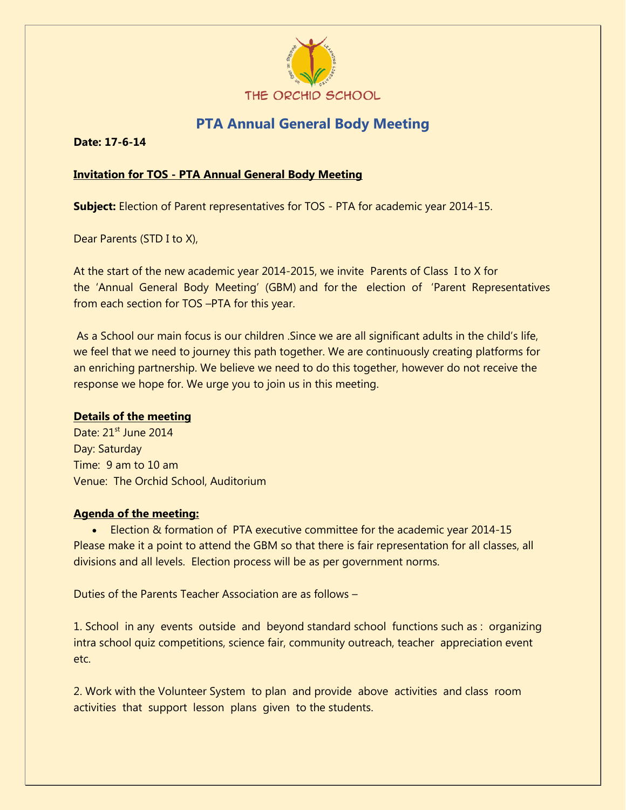

## **PTA Annual General Body Meeting**

**Date: 17-6-14** 

## **Invitation for TOS - PTA Annual General Body Meeting**

**Subject:** Election of Parent representatives for TOS - PTA for academic year 2014-15.

Dear Parents (STD I to X),

At the start of the new academic year 2014-2015, we invite Parents of Class I to X for the 'Annual General Body Meeting' (GBM) and for the election of 'Parent Representatives from each section for TOS –PTA for this year.

As a School our main focus is our children .Since we are all significant adults in the child's life, we feel that we need to journey this path together. We are continuously creating platforms for an enriching partnership. We believe we need to do this together, however do not receive the response we hope for. We urge you to join us in this meeting.

## **Details of the meeting**

Date: 21<sup>st</sup> June 2014 Day: Saturday Time: 9 am to 10 am Venue: The Orchid School, Auditorium

## **Agenda of the meeting:**

 Election & formation of PTA executive committee for the academic year 2014-15 Please make it a point to attend the GBM so that there is fair representation for all classes, all divisions and all levels. Election process will be as per government norms.

Duties of the Parents Teacher Association are as follows –

1. School in any events outside and beyond standard school functions such as : organizing intra school quiz competitions, science fair, community outreach, teacher appreciation event etc.

2. Work with the Volunteer System to plan and provide above activities and class room activities that support lesson plans given to the students.